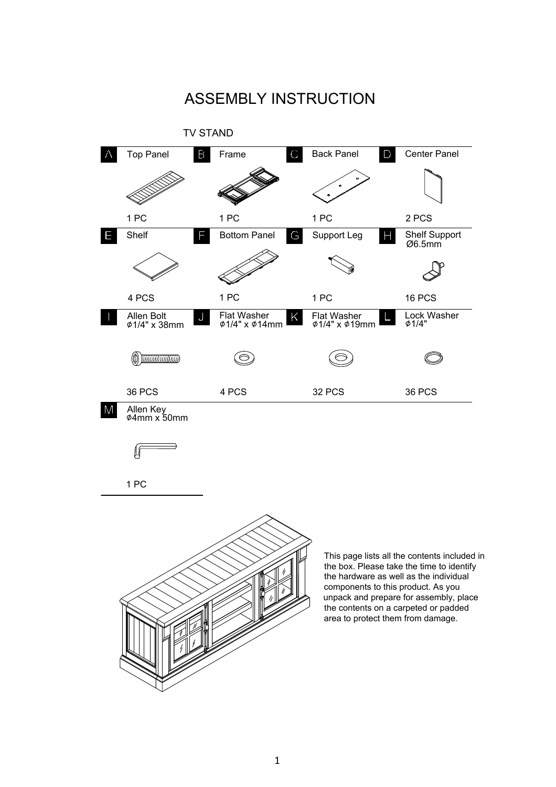

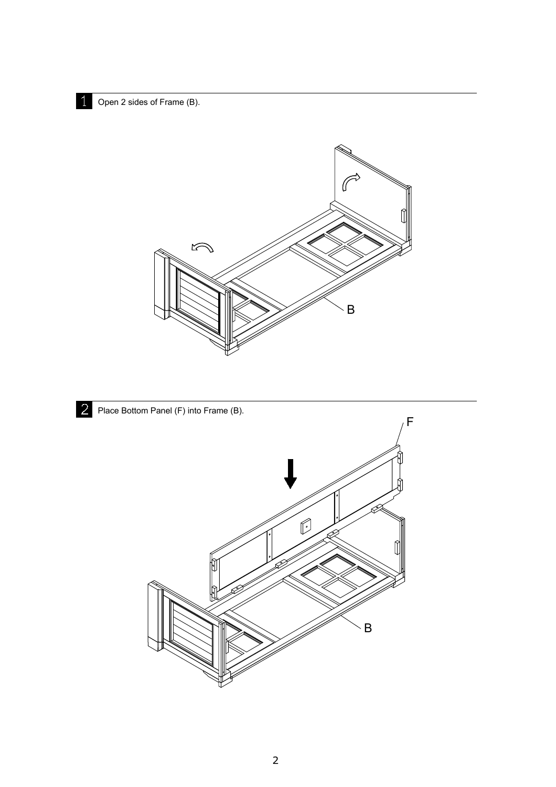Open 2 sides of Frame (B).



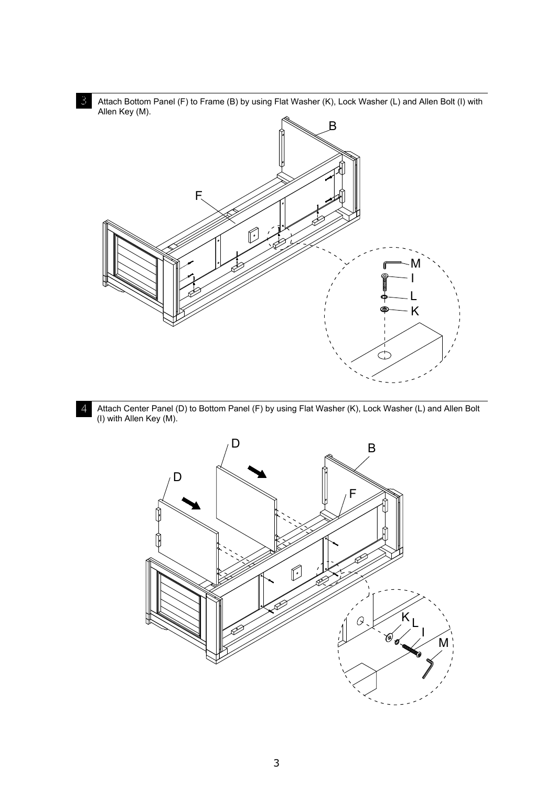

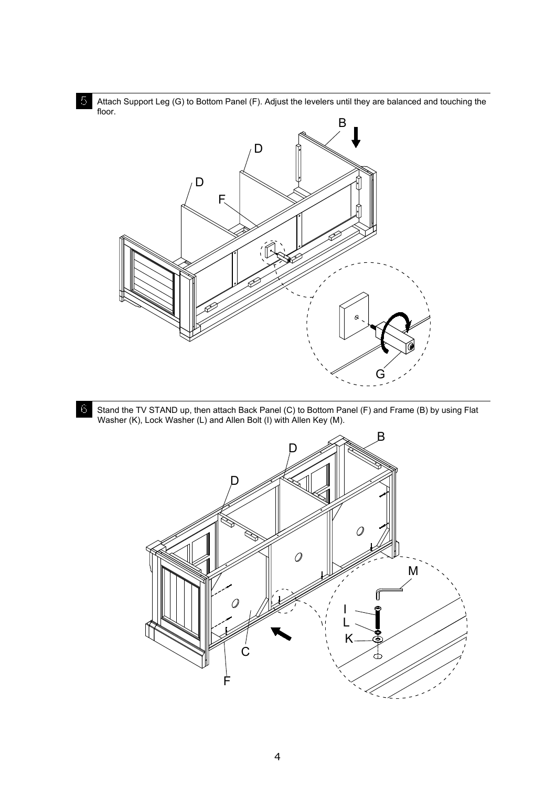

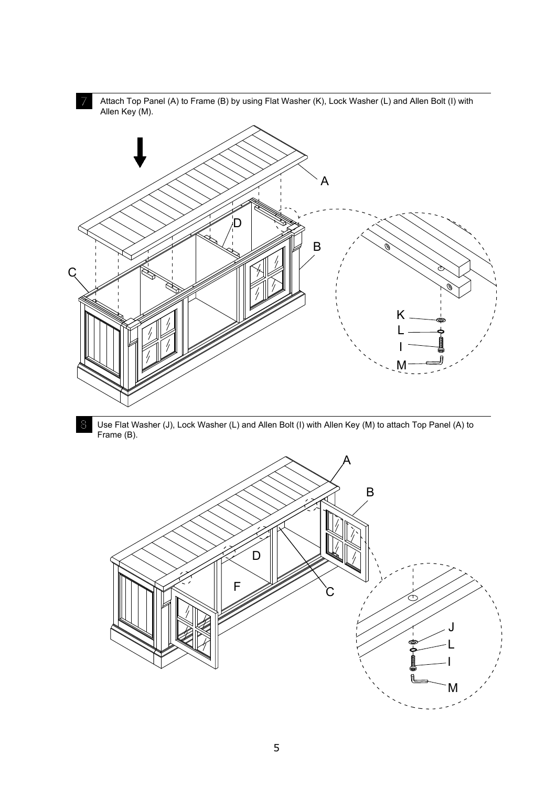